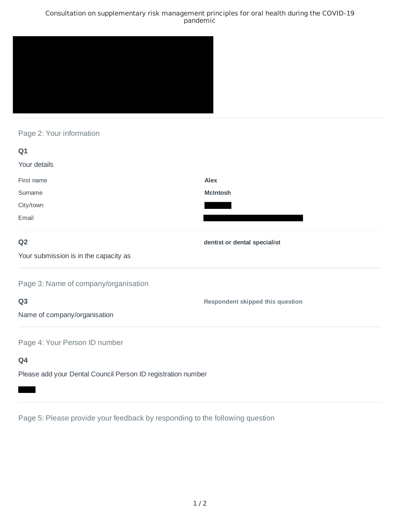### Consultation on supplementary risk management principles for oral health during the COVID-19 pandemic



# Page 2: Your information

| Q1                                                           |                                         |
|--------------------------------------------------------------|-----------------------------------------|
| Your details                                                 |                                         |
| First name                                                   | Alex                                    |
| Surname                                                      | <b>McIntosh</b>                         |
| City/town                                                    |                                         |
| Email                                                        |                                         |
| Q <sub>2</sub>                                               | dentist or dental specialist            |
| Your submission is in the capacity as                        |                                         |
| Page 3: Name of company/organisation                         |                                         |
| Q <sub>3</sub>                                               | <b>Respondent skipped this question</b> |
| Name of company/organisation                                 |                                         |
| Page 4: Your Person ID number                                |                                         |
| Q4                                                           |                                         |
| Please add your Dental Council Person ID registration number |                                         |

Page 5: Please provide your feedback by responding to the following question